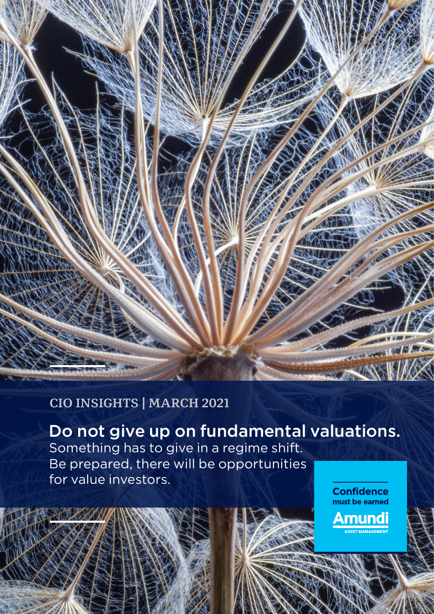# VA

### **CIO INSIGHTS | MARCH 2021**

Do not give up on fundamental valuations. Something has to give in a regime shift. Be prepared, there will be opportunities for value investors.

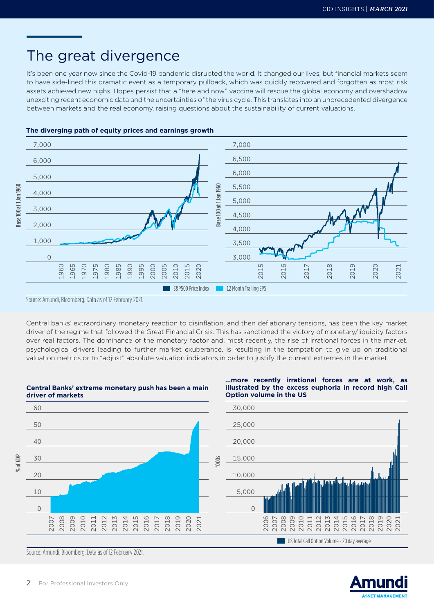### The great divergence

It's been one year now since the Covid-19 pandemic disrupted the world. It changed our lives, but financial markets seem to have side-lined this dramatic event as a temporary pullback, which was quickly recovered and forgotten as most risk assets achieved new highs. Hopes persist that a "here and now" vaccine will rescue the global economy and overshadow unexciting recent economic data and the uncertainties of the virus cycle. This translates into an unprecedented divergence between markets and the real economy, raising questions about the sustainability of current valuations.



### **The diverging path of equity prices and earnings growth**

Source: Amundi, Bloomberg. Data as of 12 February 2021.

Base 100 at 1 Jan 1960

Base 100 at 1 Jan 1960

% of GDP

Central banks' extraordinary monetary reaction to disinflation, and then deflationary tensions, has been the key market driver of the regime that followed the Great Financial Crisis. This has sanctioned the victory of monetary/liquidity factors over real factors. The dominance of the monetary factor and, most recently, the rise of irrational forces in the market, psychological drivers leading to further market exuberance, is resulting in the temptation to give up on traditional valuation metrics or to "adjust" absolute valuation indicators in order to justify the current extremes in the market.



**Central Banks' extreme monetary push has been a main** 

# **illustrated by the excess euphoria in record high Call**

**…more recently irrational forces are at work, as** 

Source: Amundi, Bloomberg. Data as of 12 February 2021.

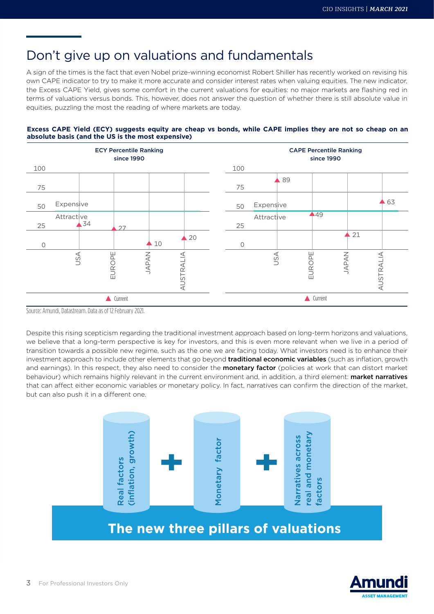### Don't give up on valuations and fundamentals

A sign of the times is the fact that even Nobel prize-winning economist Robert Shiller has recently worked on revising his own CAPE indicator to try to make it more accurate and consider interest rates when valuing equities. The new indicator, the Excess CAPE Yield, gives some comfort in the current valuations for equities: no major markets are flashing red in terms of valuations versus bonds. This, however, does not answer the question of whether there is still absolute value in equities, puzzling the most the reading of where markets are today.





Source: Amundi, Datastream. Data as of 12 February 2021.

Despite this rising scepticism regarding the traditional investment approach based on long-term horizons and valuations, we believe that a long-term perspective is key for investors, and this is even more relevant when we live in a period of transition towards a possible new regime, such as the one we are facing today. What investors need is to enhance their investment approach to include other elements that go beyond **traditional economic variables** (such as inflation, growth and earnings). In this respect, they also need to consider the **monetary factor** (policies at work that can distort market behaviour) which remains highly relevant in the current environment and, in addition, a third element: **market narratives** that can affect either economic variables or monetary policy. In fact, narratives can confirm the direction of the market, but can also push it in a different one.



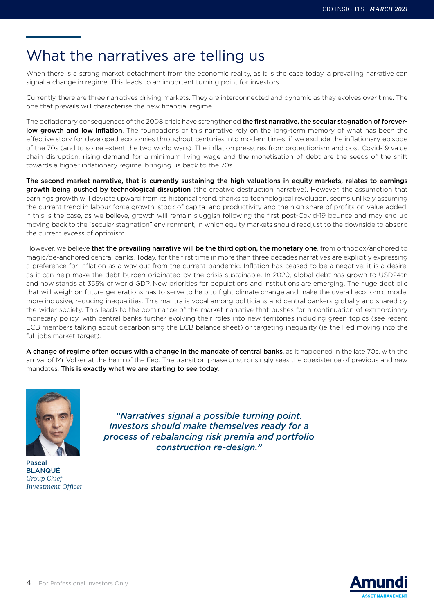# What the narratives are telling us

When there is a strong market detachment from the economic reality, as it is the case today, a prevailing narrative can signal a change in regime. This leads to an important turning point for investors.

Currently, there are three narratives driving markets. They are interconnected and dynamic as they evolves over time. The one that prevails will characterise the new financial regime.

The deflationary consequences of the 2008 crisis have strengthened the first narrative, the secular stagnation of foreverlow growth and low inflation. The foundations of this narrative rely on the long-term memory of what has been the effective story for developed economies throughout centuries into modern times, if we exclude the inflationary episode of the 70s (and to some extent the two world wars). The inflation pressures from protectionism and post Covid-19 value chain disruption, rising demand for a minimum living wage and the monetisation of debt are the seeds of the shift towards a higher inflationary regime, bringing us back to the 70s.

The second market narrative, that is currently sustaining the high valuations in equity markets, relates to earnings growth being pushed by technological disruption (the creative destruction narrative). However, the assumption that earnings growth will deviate upward from its historical trend, thanks to technological revolution, seems unlikely assuming the current trend in labour force growth, stock of capital and productivity and the high share of profits on value added. If this is the case, as we believe, growth will remain sluggish following the first post-Covid-19 bounce and may end up moving back to the "secular stagnation" environment, in which equity markets should readjust to the downside to absorb the current excess of optimism.

However, we believe that the prevailing narrative will be the third option, the monetary one, from orthodox/anchored to magic/de-anchored central banks. Today, for the first time in more than three decades narratives are explicitly expressing a preference for inflation as a way out from the current pandemic. Inflation has ceased to be a negative; it is a desire, as it can help make the debt burden originated by the crisis sustainable. In 2020, global debt has grown to USD24tn and now stands at 355% of world GDP. New priorities for populations and institutions are emerging. The huge debt pile that will weigh on future generations has to serve to help to fight climate change and make the overall economic model more inclusive, reducing inequalities. This mantra is vocal among politicians and central bankers globally and shared by the wider society. This leads to the dominance of the market narrative that pushes for a continuation of extraordinary monetary policy, with central banks further evolving their roles into new territories including green topics (see recent ECB members talking about decarbonising the ECB balance sheet) or targeting inequality (ie the Fed moving into the full jobs market target).

A change of regime often occurs with a change in the mandate of central banks, as it happened in the late 70s, with the arrival of Mr Volker at the helm of the Fed. The transition phase unsurprisingly sees the coexistence of previous and new mandates. This is exactly what we are starting to see today.



Pascal BLANQUÉ *Group Chief Investment Officer*

*"Narratives signal a possible turning point. Investors should make themselves ready for a process of rebalancing risk premia and portfolio construction re-design."*

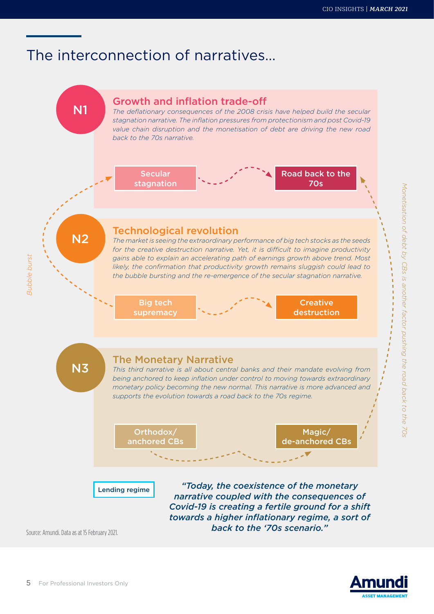## The interconnection of narratives…

N1



*The deflationary consequences of the 2008 crisis have helped build the secular stagnation narrative. The inflation pressures from protectionism and post Covid-19 value chain disruption and the monetisation of debt are driving the new road back to the 70s narrative.*



*Monetisation of debt by CBs is another factor pushing the road back to the 70s*

Monetisation of debt by CBs is another factor pushing the road back to the 70s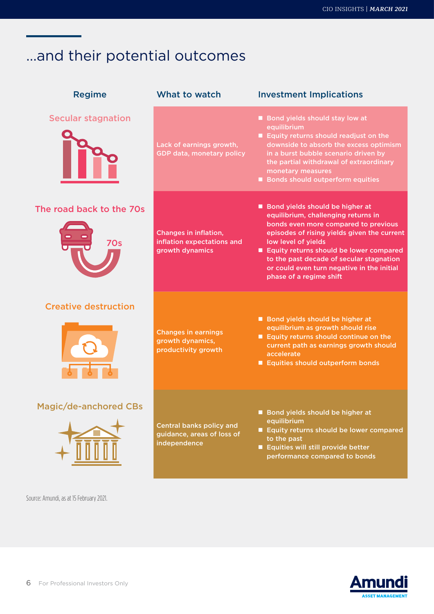# …and their potential outcomes

| <b>Regime</b>               | What to watch                                                                 | <b>Investment Implications</b>                                                                                                                                                                                                                                                                                                                       |
|-----------------------------|-------------------------------------------------------------------------------|------------------------------------------------------------------------------------------------------------------------------------------------------------------------------------------------------------------------------------------------------------------------------------------------------------------------------------------------------|
| <b>Secular stagnation</b>   | Lack of earnings growth,<br>GDP data, monetary policy                         | Bond yields should stay low at<br>equilibrium<br>Equity returns should readjust on the<br>downside to absorb the excess optimism<br>in a burst bubble scenario driven by<br>the partial withdrawal of extraordinary<br>monetary measures<br>Bonds should outperform equities                                                                         |
| The road back to the 70s    | Changes in inflation,<br>inflation expectations and<br>growth dynamics        | Bond yields should be higher at<br>equilibrium, challenging returns in<br>bonds even more compared to previous<br>episodes of rising yields given the current<br>low level of yields<br>Equity returns should be lower compared<br>to the past decade of secular stagnation<br>or could even turn negative in the initial<br>phase of a regime shift |
| <b>Creative destruction</b> | <b>Changes in earnings</b><br>growth dynamics,<br>productivity growth         | Bond yields should be higher at<br>equilibrium as growth should rise<br>Equity returns should continue on the<br>current path as earnings growth should<br>accelerate<br>Equities should outperform bonds                                                                                                                                            |
| Magic/de-anchored CBs       | <b>Central banks policy and</b><br>guidance, areas of loss of<br>independence | Bond yields should be higher at<br>equilibrium<br>Equity returns should be lower compared<br>to the past<br>Equities will still provide better<br>performance compared to bonds                                                                                                                                                                      |

Source: Amundi, as at 15 February 2021.

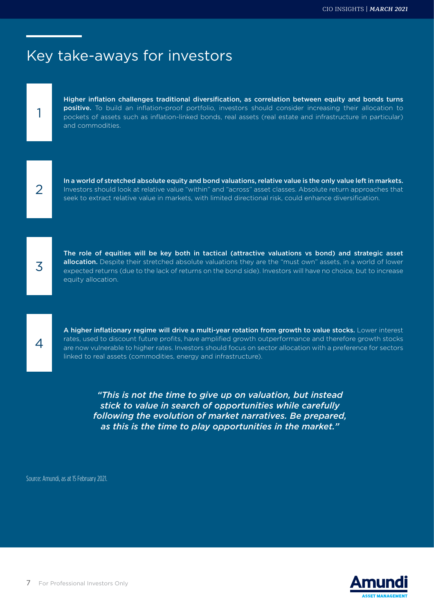## Key take-aways for investors

Higher inflation challenges traditional diversification, as correlation between equity and bonds turns positive. To build an inflation-proof portfolio, investors should consider increasing their allocation to pockets of assets such as inflation-linked bonds, real assets (real estate and infrastructure in particular) and commodities.



1

In a world of stretched absolute equity and bond valuations, relative value is the only value left in markets. Investors should look at relative value "within" and "across" asset classes. Absolute return approaches that seek to extract relative value in markets, with limited directional risk, could enhance diversification.

3

The role of equities will be key both in tactical (attractive valuations vs bond) and strategic asset allocation. Despite their stretched absolute valuations they are the "must own" assets, in a world of lower expected returns (due to the lack of returns on the bond side). Investors will have no choice, but to increase equity allocation.

4

A higher inflationary regime will drive a multi-year rotation from growth to value stocks. Lower interest rates, used to discount future profits, have amplified growth outperformance and therefore growth stocks are now vulnerable to higher rates. Investors should focus on sector allocation with a preference for sectors linked to real assets (commodities, energy and infrastructure).

*"This is not the time to give up on valuation, but instead stick to value in search of opportunities while carefully following the evolution of market narratives. Be prepared, as this is the time to play opportunities in the market."*

Source: Amundi, as at 15 February 2021.